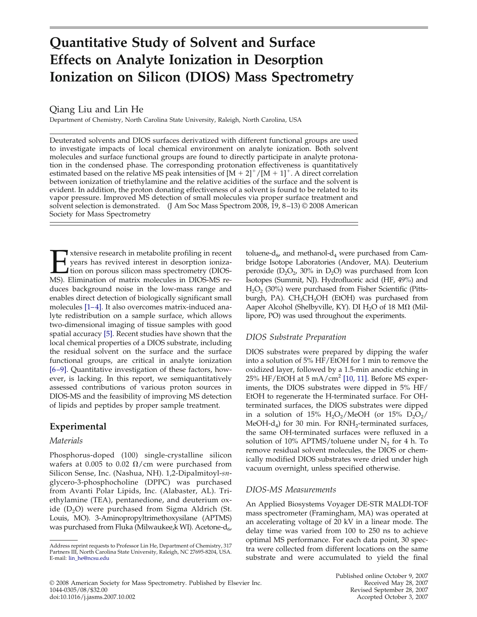# **Quantitative Study of Solvent and Surface Effects on Analyte Ionization in Desorption Ionization on Silicon (DIOS) Mass Spectrometry**

Qiang Liu and Lin He

Department of Chemistry, North Carolina State University, Raleigh, North Carolina, USA

Deuterated solvents and DIOS surfaces derivatized with different functional groups are used to investigate impacts of local chemical environment on analyte ionization. Both solvent molecules and surface functional groups are found to directly participate in analyte protonation in the condensed phase. The corresponding protonation effectiveness is quantitatively estimated based on the relative MS peak intensities of  $[M + 2]^+ / [M + 1]^+$ . A direct correlation between ionization of triethylamine and the relative acidities of the surface and the solvent is evident. In addition, the proton donating effectiveness of a solvent is found to be related to its vapor pressure. Improved MS detection of small molecules via proper surface treatment and solvent selection is demonstrated. (J Am Soc Mass Spectrom 2008, 19, 8 –13) © 2008 American Society for Mass Spectrometry

Extensive research in metabolite profiling in recent<br>years has revived interest in desorption ioniza-<br>tion on porous silicon mass spectrometry (DIOS-<br>MS). Elimination of matrix molecules in DIOS-MS reyears has revived interest in desorption ioniza-Ition on porous silicon mass spectrometry (DIOS-MS). Elimination of matrix molecules in DIOS-MS reduces background noise in the low-mass range and enables direct detection of biologically significant small molecules [1-4]. It also overcomes matrix-induced analyte redistribution on a sample surface, which allows two-dimensional imaging of tissue samples with good spatial accuracy [5]. Recent studies have shown that the local chemical properties of a DIOS substrate, including the residual solvent on the surface and the surface functional groups, are critical in analyte ionization [6 –9]. Quantitative investigation of these factors, however, is lacking. In this report, we semiquantitatively assessed contributions of various proton sources in DIOS-MS and the feasibility of improving MS detection of lipids and peptides by proper sample treatment.

# **Experimental**

## *Materials*

Phosphorus-doped (100) single-crystalline silicon wafers at 0.005 to 0.02  $\Omega$ /cm were purchased from Silicon Sense, Inc. (Nashua, NH). 1,2-Dipalmitoyl-*sn*glycero-3-phosphocholine (DPPC) was purchased from Avanti Polar Lipids, Inc. (Alabaster, AL). Triethylamine (TEA), pentanedione, and deuterium oxide  $(D_2O)$  were purchased from Sigma Aldrich (St. Louis, MO). 3-Aminopropyltrimethoxysilane (APTMS) was purchased from Fluka (Milwaukee,k WI). Acetone- $d_{6}$ ,

toluene-d $_{8}$ , and methanol-d<sub>4</sub> were purchased from Cambridge Isotope Laboratories (Andover, MA). Deuterium peroxide  $(D_2O_2, 30\%$  in D<sub>2</sub>O) was purchased from Icon Isotopes (Summit, NJ). Hydrofluoric acid (HF, 49%) and  $H_2O_2$  (30%) were purchased from Fisher Scientific (Pittsburgh, PA).  $CH<sub>3</sub>CH<sub>2</sub>OH$  (EtOH) was purchased from Aaper Alcohol (Shelbyville, KY). DI  $H_2O$  of 18 M $\Omega$  (Millipore, PO) was used throughout the experiments.

# *DIOS Substrate Preparation*

DIOS substrates were prepared by dipping the wafer into a solution of 5% HF/EtOH for 1 min to remove the oxidized layer, followed by a 1.5-min anodic etching in 25% HF/EtOH at 5 mA/cm<sup>2</sup> [10, 11]. Before MS experiments, the DIOS substrates were dipped in 5% HF/ EtOH to regenerate the H-terminated surface. For OHterminated surfaces, the DIOS substrates were dipped in a solution of 15%  $H_2O_2/MeOH$  (or 15%  $D_2O_2/$ MeOH-d<sub>4</sub>) for 30 min. For RNH<sub>2</sub>-terminated surfaces, the same OH-terminated surfaces were refluxed in a solution of 10% APTMS/toluene under  $N_2$  for 4 h. To remove residual solvent molecules, the DIOS or chemically modified DIOS substrates were dried under high vacuum overnight, unless specified otherwise.

# *DIOS-MS Measurements*

An Applied Biosystems Voyager DE-STR MALDI-TOF mass spectrometer (Framingham, MA) was operated at an accelerating voltage of 20 kV in a linear mode. The delay time was varied from 100 to 250 ns to achieve optimal MS performance. For each data point, 30 spectra were collected from different locations on the same substrate and were accumulated to yield the final

Address reprint requests to Professor Lin He, Department of Chemistry, 317 Partners III, North Carolina State University, Raleigh, NC 27695-8204, USA. E-mail: lin\_he@ncsu.edu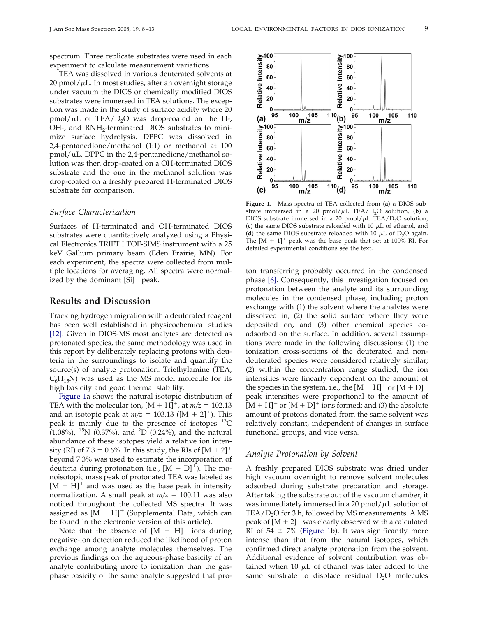spectrum. Three replicate substrates were used in each experiment to calculate measurement variations.

TEA was dissolved in various deuterated solvents at 20 pmol/ $\mu$ L. In most studies, after an overnight storage under vacuum the DIOS or chemically modified DIOS substrates were immersed in TEA solutions. The exception was made in the study of surface acidity where 20  $pmol/\mu L$  of TEA/D<sub>2</sub>O was drop-coated on the H-, OH-, and  $RNH_2$ -terminated DIOS substrates to minimize surface hydrolysis. DPPC was dissolved in 2,4-pentanedione/methanol (1:1) or methanol at 100 pmol/µL. DPPC in the 2,4-pentanedione/methanol solution was then drop-coated on a OH-terminated DIOS substrate and the one in the methanol solution was drop-coated on a freshly prepared H-terminated DIOS substrate for comparison.

#### *Surface Characterization*

Surfaces of H-terminated and OH-terminated DIOS substrates were quantitatively analyzed using a Physical Electronics TRIFT I TOF-SIMS instrument with a 25 keV Gallium primary beam (Eden Prairie, MN). For each experiment, the spectra were collected from multiple locations for averaging. All spectra were normalized by the dominant  $[Si]$ <sup>+</sup> peak.

### **Results and Discussion**

Tracking hydrogen migration with a deuterated reagent has been well established in physicochemical studies [12]. Given in DIOS-MS most analytes are detected as protonated species, the same methodology was used in this report by deliberately replacing protons with deuteria in the surroundings to isolate and quantify the source(s) of analyte protonation. Triethylamine (TEA,  $C_6H_{15}N$ ) was used as the MS model molecule for its high basicity and good thermal stability.

Figure 1a shows the natural isotopic distribution of TEA with the molecular ion,  $[M + H]^+$ , at  $m/z = 102.13$ and an isotopic peak at  $m/z = 103.13$  ([M + 2]<sup>+</sup>). This peak is mainly due to the presence of isotopes  $^{13}C$  $(1.08\%)$ , <sup>15</sup>N (0.37%), and <sup>2</sup>D (0.24%), and the natural abundance of these isotopes yield a relative ion intensity (RI) of 7.3  $\pm$  0.6%. In this study, the RIs of [M + 2]<sup>+</sup> beyond 7.3% was used to estimate the incorporation of deuteria during protonation (i.e.,  $[M + D]$ <sup>+</sup>). The monoisotopic mass peak of protonated TEA was labeled as  $[M + H]^{+}$  and was used as the base peak in intensity normalization. A small peak at  $m/z = 100.11$  was also noticed throughout the collected MS spectra. It was assigned as  $[M - H]^+$  (Supplemental Data, which can be found in the electronic version of this article).

Note that the absence of  $[M - H]$ <sup>-</sup> ions during negative-ion detection reduced the likelihood of proton exchange among analyte molecules themselves. The previous findings on the aqueous-phase basicity of an analyte contributing more to ionization than the gasphase basicity of the same analyte suggested that pro-



**Figure 1.** Mass spectra of TEA collected from (**a**) a DIOS substrate immersed in a 20  $pmol/μL$  TEA/H<sub>2</sub>O solution, (**b**) a DIOS substrate immersed in a 20  $\text{pmol}/\mu\text{L}$  TEA/D<sub>2</sub>O solution, (c) the same DIOS substrate reloaded with  $10 \mu L$  of ethanol, and (**d**) the same DIOS substrate reloaded with 10  $\mu$ L of D<sub>2</sub>O again. The  $[M + 1]^+$  peak was the base peak that set at 100% RI. For detailed experimental conditions see the text.

ton transferring probably occurred in the condensed phase [6]. Consequently, this investigation focused on protonation between the analyte and its surrounding molecules in the condensed phase, including proton exchange with (1) the solvent where the analytes were dissolved in, (2) the solid surface where they were deposited on, and (3) other chemical species coadsorbed on the surface. In addition, several assumptions were made in the following discussions: (1) the ionization cross-sections of the deuterated and nondeuterated species were considered relatively similar; (2) within the concentration range studied, the ion intensities were linearly dependent on the amount of the species in the system, i.e., the  $[M + H]^+$  or  $[M + D]^+$ peak intensities were proportional to the amount of  $[M + H]^{+}$  or  $[M + D]^{+}$  ions formed; and (3) the absolute amount of protons donated from the same solvent was relatively constant, independent of changes in surface functional groups, and vice versa.

#### *Analyte Protonation by Solvent*

A freshly prepared DIOS substrate was dried under high vacuum overnight to remove solvent molecules adsorbed during substrate preparation and storage. After taking the substrate out of the vacuum chamber, it was immediately immersed in a 20 pmol/ $\mu$ L solution of TEA/ $D_2$ O for 3 h, followed by MS measurements. A MS peak of  $[M + 2]^+$  was clearly observed with a calculated RI of 54  $\pm$  7% (Figure 1b). It was significantly more intense than that from the natural isotopes, which confirmed direct analyte protonation from the solvent. Additional evidence of solvent contribution was obtained when 10  $\mu$ L of ethanol was later added to the same substrate to displace residual  $D_2O$  molecules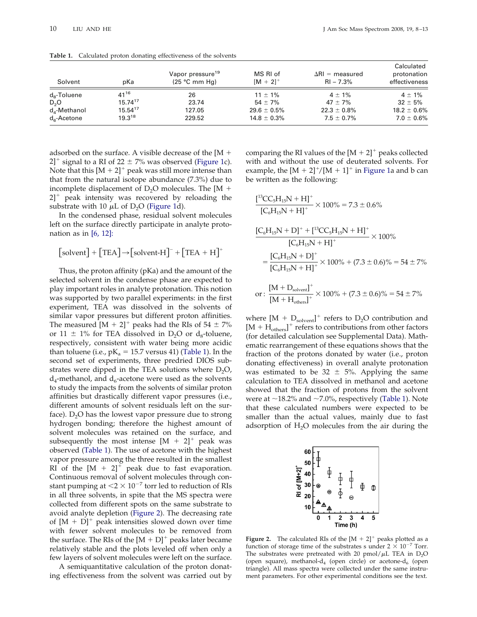| Solvent                 | pKa          | Vapor pressure <sup>19</sup><br>$(25 °C$ mm Hg) | MS RI of<br>$[M + 2]^{+}$ | $\Delta$ RI = measured<br>$RI - 7.3%$ | Calculated<br>protonation<br>effectiveness |
|-------------------------|--------------|-------------------------------------------------|---------------------------|---------------------------------------|--------------------------------------------|
| $d_{8}$ -Toluene        | $41^{16}$    | 26                                              | $11 \pm 1\%$              | $4 \pm 1\%$                           | $4 \pm 1\%$                                |
| D <sub>2</sub> O        | $15.74^{17}$ | 23.74                                           | $54 \pm 7\%$              | $47 \pm 7\%$                          | $32 \pm 5%$                                |
| $d_4$ -Methanol         | $15.54^{17}$ | 127.05                                          | $29.6 \pm 0.5\%$          | $22.3 \pm 0.8\%$                      | $18.2 \pm 0.6\%$                           |
| $d_{\epsilon}$ -Acetone | $19.3^{18}$  | 229.52                                          | $14.8 \pm 0.3\%$          | $7.5 \pm 0.7\%$                       | $7.0 \pm 0.6\%$                            |

**Table 1.** Calculated proton donating effectiveness of the solvents

adsorbed on the surface. A visible decrease of the [M  $+$ 2]<sup>+</sup> signal to a RI of 22  $\pm$  7% was observed (Figure 1c). Note that this  $[M + 2]^+$  peak was still more intense than that from the natural isotope abundance (7.3%) due to incomplete displacement of  $D_2O$  molecules. The [M  $+$ 2]<sup>+</sup> peak intensity was recovered by reloading the substrate with 10  $\mu$ L of D<sub>2</sub>O (Figure 1d).

In the condensed phase, residual solvent molecules left on the surface directly participate in analyte protonation as in  $[6, 12]$ :

$$
\big[\text{solvent}\big] + \big[\text{TEA}\big] {\rightarrow} \big[\text{solvent-H}\big]^{-} + \big[\text{TEA} + \text{H}\big]^{+}
$$

Thus, the proton affinity (pKa) and the amount of the selected solvent in the condense phase are expected to play important roles in analyte protonation. This notion was supported by two parallel experiments: in the first experiment, TEA was dissolved in the solvents of similar vapor pressures but different proton affinities. The measured  $[M + 2]^+$  peaks had the RIs of 54  $\pm$  7% or 11  $\pm$  1% for TEA dissolved in D<sub>2</sub>O or d<sub>8</sub>-toluene, respectively, consistent with water being more acidic than toluene (i.e.,  $pK_a = 15.7$  versus 41) (Table 1). In the second set of experiments, three predried DIOS substrates were dipped in the TEA solutions where  $D_2O$ ,  $d_4$ -methanol, and  $d_6$ -acetone were used as the solvents to study the impacts from the solvents of similar proton affinities but drastically different vapor pressures (i.e., different amounts of solvent residuals left on the surface).  $D_2O$  has the lowest vapor pressure due to strong hydrogen bonding; therefore the highest amount of solvent molecules was retained on the surface, and subsequently the most intense  $[M + 2]^+$  peak was observed (Table 1). The use of acetone with the highest vapor pressure among the three resulted in the smallest RI of the  $[M + 2]^+$  peak due to fast evaporation. Continuous removal of solvent molecules through constant pumping at  $\leq 2 \times 10^{-7}$  torr led to reduction of RIs in all three solvents, in spite that the MS spectra were collected from different spots on the same substrate to avoid analyte depletion (Figure 2). The decreasing rate of  $[M + D]$ <sup>+</sup> peak intensities slowed down over time with fewer solvent molecules to be removed from the surface. The RIs of the  $[M + D]^+$  peaks later became relatively stable and the plots leveled off when only a few layers of solvent molecules were left on the surface.

A semiquantitative calculation of the proton donating effectiveness from the solvent was carried out by

comparing the RI values of the  $[M + 2]^+$  peaks collected with and without the use of deuterated solvents. For example, the  $[M + 2]^+/[M + 1]^+$  in Figure 1a and b can be written as the following:

$$
\frac{[^{13}CC_{5}H_{15}N + H]^{+}}{[^{C}_{6}H_{15}N + H]^{+}} \times 100\% = 7.3 \pm 0.6\%
$$
\n
$$
\frac{[C_{6}H_{15}N + D]^{+} + [^{13}CC_{5}H_{15}N + H]^{+}}{[^{C}_{6}H_{15}N + H]^{+}} \times 100\%
$$
\n
$$
= \frac{[C_{6}H_{15}N + D]^{+}}{[^{C}_{6}H_{15}N + H]^{+}} \times 100\% + (7.3 \pm 0.6)\% = 54 \pm 7\%
$$
\nor: 
$$
\frac{[M + D_{solvent}]^{+}}{[M + H_{others}]^{+}} \times 100\% + (7.3 \pm 0.6)\% = 54 \pm 7\%
$$

where  $[M + D_{\text{solvent}}]^+$  refers to  $D_2O$  contribution and  $[M + H_{\text{others}}]^+$  refers to contributions from other factors (for detailed calculation see Supplemental Data). Mathematic rearrangement of these equations shows that the fraction of the protons donated by water (i.e., proton donating effectiveness) in overall analyte protonation was estimated to be  $32 \pm 5\%$ . Applying the same calculation to TEA dissolved in methanol and acetone showed that the fraction of protons from the solvent were at  $\sim$ 18.2% and  $\sim$ 7.0%, respectively (Table 1). Note that these calculated numbers were expected to be smaller than the actual values, mainly due to fast adsorption of  $H_2O$  molecules from the air during the



**Figure 2.** The calculated RIs of the  $[M + 2]^+$  peaks plotted as a function of storage time of the substrates s under  $2 \times 10^{-7}$  Torr. The substrates were pretreated with 20  $\text{pmol}/\mu\text{L}$  TEA in  $\text{D}_2\text{O}$ (open square), methanol- $d_4$  (open circle) or acetone- $d_6$  (open triangle). All mass spectra were collected under the same instrument parameters. For other experimental conditions see the text.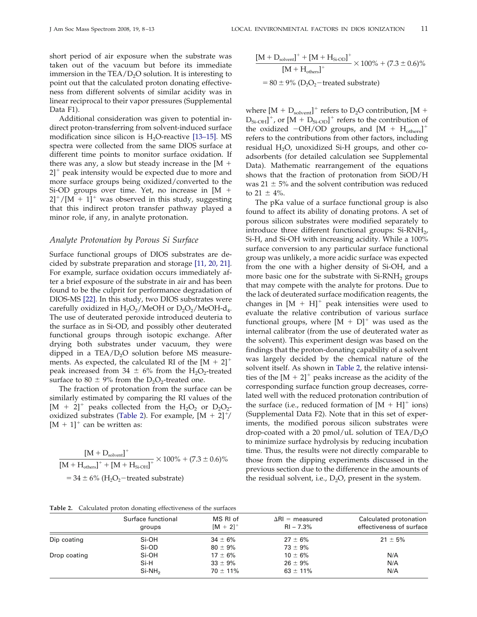short period of air exposure when the substrate was taken out of the vacuum but before its immediate immersion in the  $TEA/D<sub>2</sub>O$  solution. It is interesting to point out that the calculated proton donating effectiveness from different solvents of similar acidity was in linear reciprocal to their vapor pressures (Supplemental Data F1).

Additional consideration was given to potential indirect proton-transferring from solvent-induced surface modification since silicon is  $H<sub>2</sub>O$ -reactive [13–15]. MS spectra were collected from the same DIOS surface at different time points to monitor surface oxidation. If there was any, a slow but steady increase in the  $[M +]$ 2]<sup>+</sup> peak intensity would be expected due to more and more surface groups being oxidized/converted to the Si-OD groups over time. Yet, no increase in [M -  $2$ ]<sup>+</sup>/[M + 1]<sup>+</sup> was observed in this study, suggesting that this indirect proton transfer pathway played a minor role, if any, in analyte protonation.

#### *Analyte Protonation by Porous Si Surface*

Surface functional groups of DIOS substrates are decided by substrate preparation and storage [11, 20, 21]. For example, surface oxidation occurs immediately after a brief exposure of the substrate in air and has been found to be the culprit for performance degradation of DIOS-MS [22]. In this study, two DIOS substrates were carefully oxidized in  $H_2O_2/MeOH$  or  $D_2O_2/MeOH-d_4$ . The use of deuterated peroxide introduced deuteria to the surface as in Si-OD, and possibly other deuterated functional groups through isotopic exchange. After drying both substrates under vacuum, they were dipped in a  $TEA/D<sub>2</sub>O$  solution before MS measurements. As expected, the calculated RI of the  $[M + 2]^+$ peak increased from 34  $\pm$  6% from the H<sub>2</sub>O<sub>2</sub>-treated surface to 80  $\pm$  9% from the D<sub>2</sub>O<sub>2</sub>-treated one.

The fraction of protonation from the surface can be similarly estimated by comparing the RI values of the  $[M + 2]^+$  peaks collected from the  $H_2O_2$  or  $D_2O_2$ oxidized substrates (Table 2). For example,  $[M + 2]^+$ /  $[M + 1]^+$  can be written as:

$$
\frac{[M + D_{solvent}]^{+}}{[M + H_{oters}]^{+} + [M + H_{Si-OH}]^{+}} \times 100\% + (7.3 \pm 0.6)\%
$$
  
= 34 \pm 6\% (H<sub>2</sub>O<sub>2</sub> -treated substrate)

$$
\frac{[M + D_{solvent}]^{+} + [M + H_{Si-OD}]^{+}}{[M + H_{others}]^{+}} \times 100\% + (7.3 \pm 0.6)\%
$$
  
= 80 \pm 9% (D<sub>2</sub>O<sub>2</sub> - treated substrate)

where  $[M + D_{\text{solvent}}]^+$  refers to D<sub>2</sub>O contribution,  $[M + D_{\text{solvent}}]^+$  $[D_{Si-OH}]^+$ , or  $[M + D_{Si-OD}]^+$  refers to the contribution of the oxidized  $-OH/OD$  groups, and  $[M + H_{others}]^+$ refers to the contributions from other factors, including residual  $H_2O$ , unoxidized Si-H groups, and other coadsorbents (for detailed calculation see Supplemental Data). Mathematic rearrangement of the equations shows that the fraction of protonation from SiOD/H was  $21 \pm 5$ % and the solvent contribution was reduced to  $21 \pm 4\%$ .

The pKa value of a surface functional group is also found to affect its ability of donating protons. A set of porous silicon substrates were modified separately to introduce three different functional groups:  $Si-RNH<sub>2</sub>$ , Si-H, and Si-OH with increasing acidity. While a 100% surface conversion to any particular surface functional group was unlikely, a more acidic surface was expected from the one with a higher density of Si-OH, and a more basic one for the substrate with  $Si-RNH<sub>2</sub>$  groups that may compete with the analyte for protons. Due to the lack of deuterated surface modification reagents, the changes in  $[M + H]$ <sup>+</sup> peak intensities were used to evaluate the relative contribution of various surface functional groups, where  $[M + D]^+$  was used as the internal calibrator (from the use of deuterated water as the solvent). This experiment design was based on the findings that the proton-donating capability of a solvent was largely decided by the chemical nature of the solvent itself. As shown in Table 2, the relative intensities of the  $[M + 2]^+$  peaks increase as the acidity of the corresponding surface function group decreases, correlated well with the reduced protonation contribution of the surface (i.e., reduced formation of  $[M + H]^{+}$  ions) (Supplemental Data F2). Note that in this set of experiments, the modified porous silicon substrates were drop-coated with a 20 pmol/uL solution of  $TEA/D<sub>2</sub>O$ to minimize surface hydrolysis by reducing incubation time. Thus, the results were not directly comparable to those from the dipping experiments discussed in the previous section due to the difference in the amounts of the residual solvent, i.e.,  $D_2O$ , present in the system.

**Table 2.** Calculated proton donating effectiveness of the surfaces

|              | Surface functional | MS RI of                     | $\Delta$ RI = measured       | Calculated protonation   |
|--------------|--------------------|------------------------------|------------------------------|--------------------------|
|              | groups             | $[M + 2]^{+}$                | $RI - 7.3%$                  | effectiveness of surface |
| Dip coating  | Si-OH              | $34 \pm 6\%$                 | $27 \pm 6\%$<br>$73 \pm 9\%$ | $21 \pm 5\%$             |
| Drop coating | Si-OD<br>Si-OH     | $80 \pm 9\%$<br>$17 \pm 6\%$ | $10 \pm 6\%$                 | N/A                      |
|              | Si-H               | $33 \pm 9\%$                 | $26 \pm 9\%$                 | N/A                      |
|              | $Si-NH2$           | $70 \pm 11\%$                | $63 \pm 11\%$                | N/A                      |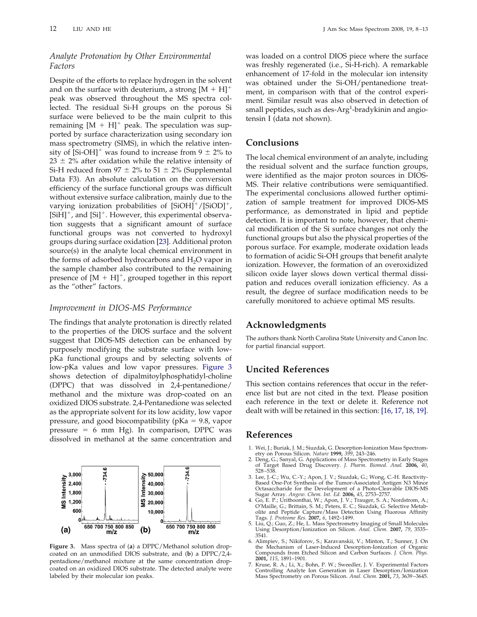## *Analyte Protonation by Other Environmental Factors*

Despite of the efforts to replace hydrogen in the solvent and on the surface with deuterium, a strong  $[M + H]$ <sup>+</sup> peak was observed throughout the MS spectra collected. The residual Si-H groups on the porous Si surface were believed to be the main culprit to this remaining  $[M + H]^+$  peak. The speculation was supported by surface characterization using secondary ion mass spectrometry (SIMS), in which the relative intensity of  $[Si-OH]$ <sup>+</sup> was found to increase from 9  $\pm$  2% to  $23 \pm 2\%$  after oxidation while the relative intensity of Si-H reduced from 97  $\pm$  2% to 51  $\pm$  2% (Supplemental Data F3). An absolute calculation on the conversion efficiency of the surface functional groups was difficult without extensive surface calibration, mainly due to the varying ionization probabilities of  $[SiOH]^+/[SiOD]^+$ , [SiH]<sup>+</sup>, and [Si]<sup>+</sup>. However, this experimental observation suggests that a significant amount of surface functional groups was not converted to hydroxyl groups during surface oxidation [23]. Additional proton source(s) in the analyte local chemical environment in the forms of adsorbed hydrocarbons and  $H_2O$  vapor in the sample chamber also contributed to the remaining presence of  $[M + H]^{+}$ , grouped together in this report as the "other" factors.

#### *Improvement in DIOS-MS Performance*

The findings that analyte protonation is directly related to the properties of the DIOS surface and the solvent suggest that DIOS-MS detection can be enhanced by purposely modifying the substrate surface with lowpKa functional groups and by selecting solvents of low-pKa values and low vapor pressures. Figure 3 shows detection of dipalmitoylphosphatidyl-choline (DPPC) that was dissolved in 2,4-pentanedione/ methanol and the mixture was drop-coated on an oxidized DIOS substrate. 2,4-Pentanedione was selected as the appropriate solvent for its low acidity, low vapor pressure, and good biocompatibility ( $pKa = 9.8$ , vapor pressure  $= 6$  mm Hg). In comparison, DPPC was dissolved in methanol at the same concentration and



**Figure 3.** Mass spectra of (**a**) a DPPC/Methanol solution dropcoated on an unmodified DIOS substrate, and (**b**) a DPPC/2,4 pentadione/methanol mixture at the same concentration dropcoated on an oxidized DIOS substrate. The detected analyte were labeled by their molecular ion peaks.

was loaded on a control DIOS piece where the surface was freshly regenerated (i.e., Si-H-rich). A remarkable enhancement of 17-fold in the molecular ion intensity was obtained under the Si-OH/pentanedione treatment, in comparison with that of the control experiment. Similar result was also observed in detection of small peptides, such as des-Arg<sup>1</sup>-bradykinin and angiotensin I (data not shown).

# **Conclusions**

The local chemical environment of an analyte, including the residual solvent and the surface function groups, were identified as the major proton sources in DIOS-MS. Their relative contributions were semiquantified. The experimental conclusions allowed further optimization of sample treatment for improved DIOS-MS performance, as demonstrated in lipid and peptide detection. It is important to note, however, that chemical modification of the Si surface changes not only the functional groups but also the physical properties of the porous surface. For example, moderate oxidation leads to formation of acidic Si-OH groups that benefit analyte ionization. However, the formation of an overoxidized silicon oxide layer slows down vertical thermal dissipation and reduces overall ionization efficiency. As a result, the degree of surface modification needs to be carefully monitored to achieve optimal MS results.

## **Acknowledgments**

The authors thank North Carolina State University and Canon Inc. for partial financial support.

# **Uncited References**

This section contains references that occur in the reference list but are not cited in the text. Please position each reference in the text or delete it. Reference not dealt with will be retained in this section: [16, 17, 18, 19].

# **References**

- 1. Wei, J.; Buriak, J. M.; Siuzdak, G. Desorption-Ionization Mass Spectrom-
- etry on Porous Silicon. *Nature* **1999,** *399*, 243–246. 2. Deng, G.; Sanyal, G. Applications of Mass Spectrometry in Early Stages of Target Based Drug Discovery. *J. Pharm. Biomed. Anal.* **2006,** *40*, 528 –538.
- 3. Lee, J.-C.; Wu, C.-Y.; Apon, J. V.; Siuzdak, G.; Wong, C.-H. Reactivity-Based One-Pot Synthesis of the Tumor-Associated Antigen N3 Minor
- Octasaccharide for the Development of a Photo-Cleavable DIOS-MS<br>Sugar Array. Angew. Chem. Int. Ed. 2006, 45, 2753-2757.<br>Go, E. P.; Uritboonthai, W.; Apon, J. V.; Trauger, S. A.; Nordstrom, A.;<br>O'Maille, G.; Brittain, S. M. olite and Peptide Capture/Mass Detection Using Fluorous Affinity Tags. *J. Proteome Res.* **2007,** *6*, 1492–1499.
- 5. Liu, Q.; Guo, Z.; He, L. Mass Spectrometry Imaging of Small Molecules Using Desorption/Ionization on Silicon. *Anal. Chem.* **2007,** *79*, 3535– 3541.
- 6. Alimpiev, S.; Nikiforov, S.; Karavanskii, V.; Minton, T.; Sunner, J. On the Mechanism of Laser-Induced Desorption-Ionization of Organic Compounds from Etched Silicon and Carbon Surfaces. *J. Chem. Phys.* **2001,** *115*, 1891–1901.
- 7. Kruse, R. A.; Li, X.; Bohn, P. W.; Sweedler, J. V. Experimental Factors Controlling Analyte Ion Generation in Laser Desorption/Ionization Mass Spectrometry on Porous Silicon. *Anal. Chem.* **2001,** *73*, 3639 –3645.